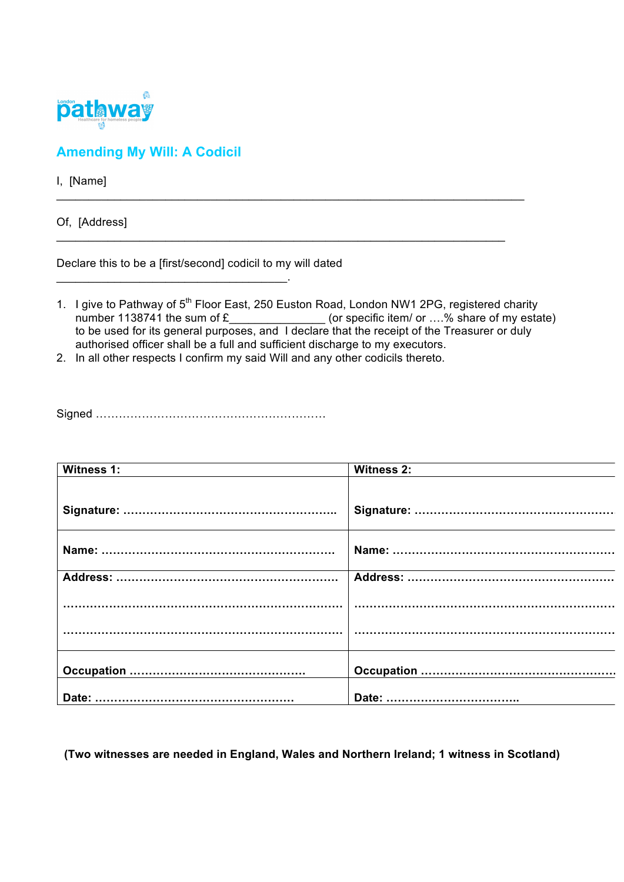

## **Amending My Will: A Codicil**

I, [Name]

Of, [Address]

Declare this to be a [first/second] codicil to my will dated

\_\_\_\_\_\_\_\_\_\_\_\_\_\_\_\_\_\_\_\_\_\_\_\_\_\_\_\_\_\_\_\_\_\_\_\_.

1. I give to Pathway of 5<sup>th</sup> Floor East, 250 Euston Road, London NW1 2PG, registered charity number 1138741 the sum of  $E_$  \_\_\_\_\_\_\_\_\_\_\_\_\_\_\_\_\_\_\_\_(or specific item/ or ....% share of my estate) to be used for its general purposes, and I declare that the receipt of the Treasurer or duly authorised officer shall be a full and sufficient discharge to my executors.

 $\_$  , and the set of the set of the set of the set of the set of the set of the set of the set of the set of the set of the set of the set of the set of the set of the set of the set of the set of the set of the set of th

\_\_\_\_\_\_\_\_\_\_\_\_\_\_\_\_\_\_\_\_\_\_\_\_\_\_\_\_\_\_\_\_\_\_\_\_\_\_\_\_\_\_\_\_\_\_\_\_\_\_\_\_\_\_\_\_\_\_\_\_\_\_\_\_\_\_\_\_\_\_

2. In all other respects I confirm my said Will and any other codicils thereto.

Signed ……………………………………………………

| <b>Witness 1:</b> | <b>Witness 2:</b> |
|-------------------|-------------------|
|                   |                   |
|                   |                   |
|                   |                   |
|                   |                   |
|                   |                   |
|                   |                   |
|                   |                   |
|                   |                   |

**(Two witnesses are needed in England, Wales and Northern Ireland; 1 witness in Scotland)**